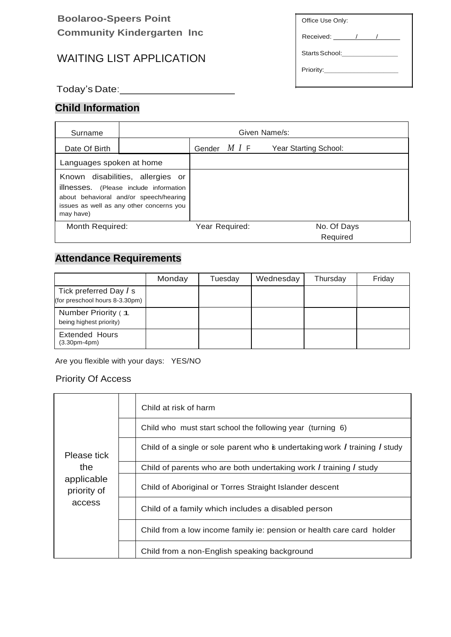## **Boolaroo-Speers Point Community Kindergarten Inc**

# WAITING LIST APPLICATION

Office Use Only: Received: \_\_\_\_\_\_/\_\_\_\_\_/\_\_\_\_\_\_ Starts School:\_\_\_\_\_\_\_\_\_\_\_\_\_\_\_\_\_\_ Priority:\_\_\_\_\_\_\_\_\_\_\_\_\_\_\_\_\_\_\_\_

Today's Date: 1980 1991

## **Child Information**

| Surname                                                                                                                                                                       | Given Name/s: |                    |                |                       |
|-------------------------------------------------------------------------------------------------------------------------------------------------------------------------------|---------------|--------------------|----------------|-----------------------|
| Date Of Birth                                                                                                                                                                 |               | Gender <i>MI</i> F |                | Year Starting School: |
| Languages spoken at home                                                                                                                                                      |               |                    |                |                       |
| Known disabilities, allergies or<br>illnesses. (Please include information<br>about behavioral and/or speech/hearing<br>issues as well as any other concerns you<br>may have) |               |                    |                |                       |
| Month Required:                                                                                                                                                               |               |                    | Year Required: | No. Of Days           |
|                                                                                                                                                                               |               |                    |                | Required              |

# **Attendance Requirements**

|                                                          | Monday | Tuesday | Wednesday | Thursday | Friday |
|----------------------------------------------------------|--------|---------|-----------|----------|--------|
| Tick preferred Day / s<br>(for preschool hours 8-3.30pm) |        |         |           |          |        |
| Number Priority (1<br>being highest priority)            |        |         |           |          |        |
| <b>Extended Hours</b><br>$(3.30pm-4pm)$                  |        |         |           |          |        |

Are you flexible with your days: YES/NO

#### Priority Of Access

| Please tick<br>the<br>applicable<br>priority of<br>access | Child at risk of harm                                                       |  |
|-----------------------------------------------------------|-----------------------------------------------------------------------------|--|
|                                                           | Child who must start school the following year (turning 6)                  |  |
|                                                           | Child of a single or sole parent who is undertaking work I training I study |  |
|                                                           | Child of parents who are both undertaking work I training I study           |  |
|                                                           | Child of Aboriginal or Torres Straight Islander descent                     |  |
|                                                           | Child of a family which includes a disabled person                          |  |
|                                                           | Child from a low income family ie: pension or health care card holder       |  |
|                                                           | Child from a non-English speaking background                                |  |